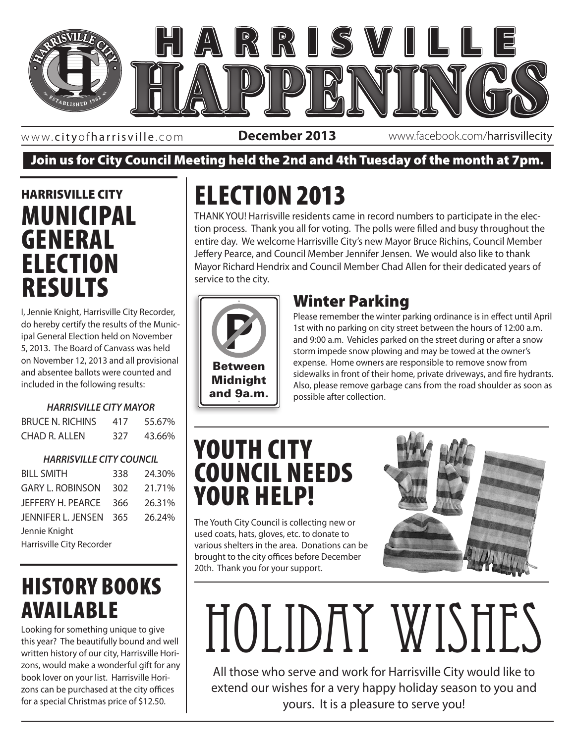

www. cityofharrisville .com

**December 2013** www.facebook.com/harrisvillecity

#### Join us for City Council Meeting held the 2nd and 4th Tuesday of the month at 7pm.

#### HARRISVILLE CITY MUNICIPAL GENERAL **ELECTION** RESULTS

I, Jennie Knight, Harrisville City Recorder, do hereby certify the results of the Municipal General Election held on November 5, 2013. The Board of Canvass was held on November 12, 2013 and all provisional and absentee ballots were counted and included in the following results:

#### *HARRISVILLE CITY MAYOR*

| <b>BRUCE N. RICHINS</b> | 417 | 55.67% |
|-------------------------|-----|--------|
| CHAD R. ALLEN           | 327 | 43.66% |

#### *HARRISVILLE CITY COUNCIL*

| <b>BILL SMITH</b>         | 338 | 24.30% |
|---------------------------|-----|--------|
| <b>GARY L. ROBINSON</b>   | 302 | 21.71% |
| JEFFERY H. PEARCE         | 366 | 26.31% |
| JENNIFER L. JENSEN        | 365 | 26.24% |
| Jennie Knight             |     |        |
| Harrisville City Recorder |     |        |

### HISTORY BOOKS AVAILABLE

Looking for something unique to give this year? The beautifully bound and well written history of our city, Harrisville Horizons, would make a wonderful gift for any book lover on your list. Harrisville Horizons can be purchased at the city offices for a special Christmas price of \$12.50.

# ELECTION 2013

THANK YOU! Harrisville residents came in record numbers to participate in the election process. Thank you all for voting. The polls were filled and busy throughout the entire day. We welcome Harrisville City's new Mayor Bruce Richins, Council Member Jeffery Pearce, and Council Member Jennifer Jensen. We would also like to thank Mayor Richard Hendrix and Council Member Chad Allen for their dedicated years of service to the city.



#### Winter Parking

**ALLISITE**  $\parallel$  Also, please remove garbage cans from the road shoulder as soon as Please remember the winter parking ordinance is in effect until April 1st with no parking on city street between the hours of 12:00 a.m. and 9:00 a.m. Vehicles parked on the street during or after a snow storm impede snow plowing and may be towed at the owner's expense. Home owners are responsible to remove snow from sidewalks in front of their home, private driveways, and fire hydrants. possible after collection.

## YOUTH CITY COUNCIL NEEDS YOUR HELP!

The Youth City Council is collecting new or used coats, hats, gloves, etc. to donate to various shelters in the area. Donations can be brought to the city offices before December 20th. Thank you for your support.



# Holiday Wishes

All those who serve and work for Harrisville City would like to extend our wishes for a very happy holiday season to you and yours. It is a pleasure to serve you!